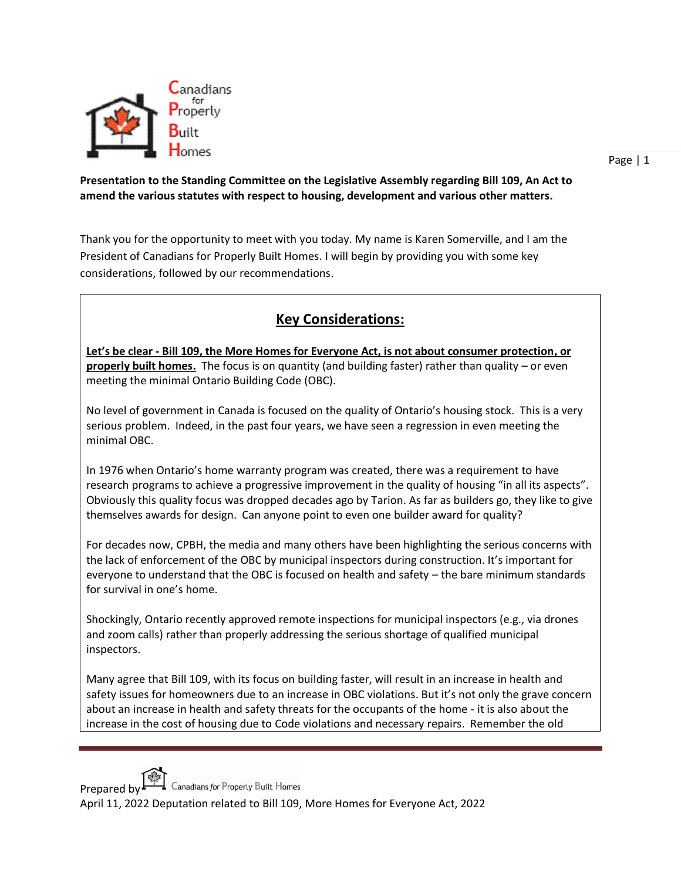

## **Presentation to the Standing Committee on the Legislative Assembly regarding Bill 109, An Act to amend the various statutes with respect to housing, development and various other matters.**

Thank you for the opportunity to meet with you today. My name is Karen Somerville, and I am the President of Canadians for Properly Built Homes. I will begin by providing you with some key considerations, followed by our recommendations.

## **Key Considerations:**

**Let's be clear - Bill 109, the More Homes for Everyone Act, is not about consumer protection, or properly built homes.** The focus is on quantity (and building faster) rather than quality – or even meeting the minimal Ontario Building Code (OBC).

No level of government in Canada is focused on the quality of Ontario's housing stock. This is a very serious problem. Indeed, in the past four years, we have seen a regression in even meeting the minimal OBC.

In 1976 when Ontario's home warranty program was created, there was a requirement to have research programs to achieve a progressive improvement in the quality of housing "in all its aspects". Obviously this quality focus was dropped decades ago by Tarion. As far as builders go, they like to give themselves awards for design. Can anyone point to even one builder award for quality?

For decades now, CPBH, the media and many others have been highlighting the serious concerns with the lack of enforcement of the OBC by municipal inspectors during construction. It's important for everyone to understand that the OBC is focused on health and safety – the bare minimum standards for survival in one's home.

Shockingly, Ontario recently approved remote inspections for municipal inspectors (e.g., via drones and zoom calls) rather than properly addressing the serious shortage of qualified municipal inspectors.

Many agree that Bill 109, with its focus on building faster, will result in an increase in health and safety issues for homeowners due to an increase in OBC violations. But it's not only the grave concern about an increase in health and safety threats for the occupants of the home - it is also about the increase in the cost of housing due to Code violations and necessary repairs. Remember the old



Prepared by  $\Box$  Canadians for Properly Built Homes

April 11, 2022 Deputation related to Bill 109, More Homes for Everyone Act, 2022

Page | 1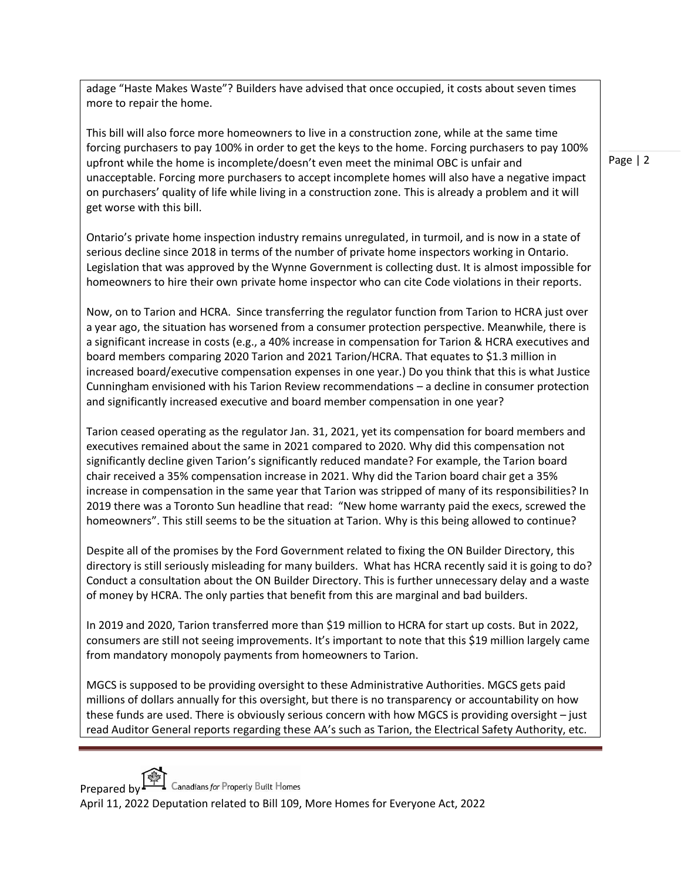adage "Haste Makes Waste"? Builders have advised that once occupied, it costs about seven times more to repair the home.

This bill will also force more homeowners to live in a construction zone, while at the same time forcing purchasers to pay 100% in order to get the keys to the home. Forcing purchasers to pay 100% upfront while the home is incomplete/doesn't even meet the minimal OBC is unfair and unacceptable. Forcing more purchasers to accept incomplete homes will also have a negative impact on purchasers' quality of life while living in a construction zone. This is already a problem and it will get worse with this bill.

Ontario's private home inspection industry remains unregulated, in turmoil, and is now in a state of serious decline since 2018 in terms of the number of private home inspectors working in Ontario. Legislation that was approved by the Wynne Government is collecting dust. It is almost impossible for homeowners to hire their own private home inspector who can cite Code violations in their reports.

Now, on to Tarion and HCRA. Since transferring the regulator function from Tarion to HCRA just over a year ago, the situation has worsened from a consumer protection perspective. Meanwhile, there is a significant increase in costs (e.g., a 40% increase in compensation for Tarion & HCRA executives and board members comparing 2020 Tarion and 2021 Tarion/HCRA. That equates to \$1.3 million in increased board/executive compensation expenses in one year.) Do you think that this is what Justice Cunningham envisioned with his Tarion Review recommendations – a decline in consumer protection and significantly increased executive and board member compensation in one year?

Tarion ceased operating as the regulator Jan. 31, 2021, yet its compensation for board members and executives remained about the same in 2021 compared to 2020. Why did this compensation not significantly decline given Tarion's significantly reduced mandate? For example, the Tarion board chair received a 35% compensation increase in 2021. Why did the Tarion board chair get a 35% increase in compensation in the same year that Tarion was stripped of many of its responsibilities? In 2019 there was a Toronto Sun headline that read: "New home warranty paid the execs, screwed the homeowners". This still seems to be the situation at Tarion. Why is this being allowed to continue?

Despite all of the promises by the Ford Government related to fixing the ON Builder Directory, this directory is still seriously misleading for many builders. What has HCRA recently said it is going to do? Conduct a consultation about the ON Builder Directory. This is further unnecessary delay and a waste of money by HCRA. The only parties that benefit from this are marginal and bad builders.

In 2019 and 2020, Tarion transferred more than \$19 million to HCRA for start up costs. But in 2022, consumers are still not seeing improvements. It's important to note that this \$19 million largely came from mandatory monopoly payments from homeowners to Tarion.

MGCS is supposed to be providing oversight to these Administrative Authorities. MGCS gets paid millions of dollars annually for this oversight, but there is no transparency or accountability on how these funds are used. There is obviously serious concern with how MGCS is providing oversight – just read Auditor General reports regarding these AA's such as Tarion, the Electrical Safety Authority, etc.



Prepared by  $\Box$  Canadians for Properly Built Homes

April 11, 2022 Deputation related to Bill 109, More Homes for Everyone Act, 2022

Page | 2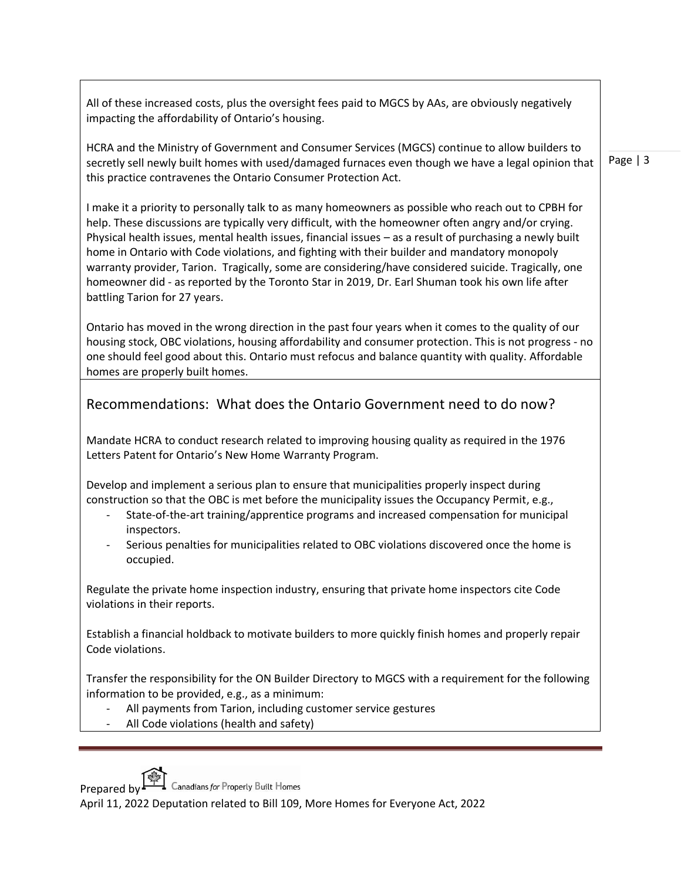All of these increased costs, plus the oversight fees paid to MGCS by AAs, are obviously negatively impacting the affordability of Ontario's housing.

HCRA and the Ministry of Government and Consumer Services (MGCS) continue to allow builders to secretly sell newly built homes with used/damaged furnaces even though we have a legal opinion that this practice contravenes the Ontario Consumer Protection Act.

I make it a priority to personally talk to as many homeowners as possible who reach out to CPBH for help. These discussions are typically very difficult, with the homeowner often angry and/or crying. Physical health issues, mental health issues, financial issues – as a result of purchasing a newly built home in Ontario with Code violations, and fighting with their builder and mandatory monopoly warranty provider, Tarion. Tragically, some are considering/have considered suicide. Tragically, one homeowner did - as reported by the Toronto Star in 2019, Dr. Earl Shuman took his own life after battling Tarion for 27 years.

Ontario has moved in the wrong direction in the past four years when it comes to the quality of our housing stock, OBC violations, housing affordability and consumer protection. This is not progress - no one should feel good about this. Ontario must refocus and balance quantity with quality. Affordable homes are properly built homes.

## Recommendations: What does the Ontario Government need to do now?

Mandate HCRA to conduct research related to improving housing quality as required in the 1976 Letters Patent for Ontario's New Home Warranty Program.

Develop and implement a serious plan to ensure that municipalities properly inspect during construction so that the OBC is met before the municipality issues the Occupancy Permit, e.g.,

- State-of-the-art training/apprentice programs and increased compensation for municipal inspectors.
- Serious penalties for municipalities related to OBC violations discovered once the home is occupied.

Regulate the private home inspection industry, ensuring that private home inspectors cite Code violations in their reports.

Establish a financial holdback to motivate builders to more quickly finish homes and properly repair Code violations.

Transfer the responsibility for the ON Builder Directory to MGCS with a requirement for the following information to be provided, e.g., as a minimum:

- All payments from Tarion, including customer service gestures
- All Code violations (health and safety)

Prepared by  $\Box$  Canadians for Properly Built Homes

April 11, 2022 Deputation related to Bill 109, More Homes for Everyone Act, 2022

Page | 3